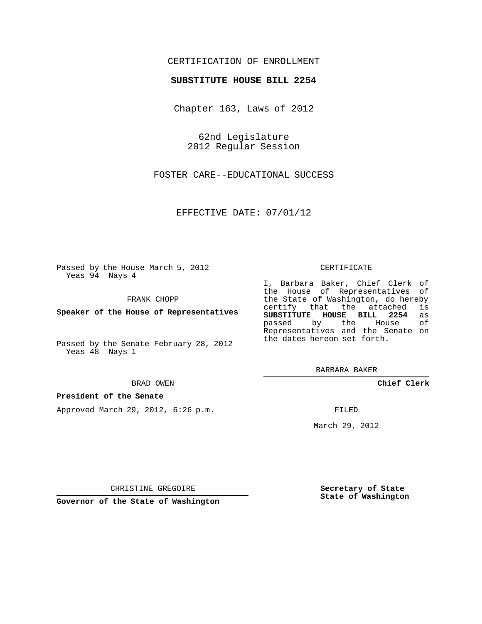## CERTIFICATION OF ENROLLMENT

### **SUBSTITUTE HOUSE BILL 2254**

Chapter 163, Laws of 2012

62nd Legislature 2012 Regular Session

FOSTER CARE--EDUCATIONAL SUCCESS

EFFECTIVE DATE: 07/01/12

Passed by the House March 5, 2012 Yeas 94 Nays 4

FRANK CHOPP

**Speaker of the House of Representatives**

Passed by the Senate February 28, 2012 Yeas 48 Nays 1

#### BRAD OWEN

### **President of the Senate**

Approved March 29, 2012, 6:26 p.m.

#### CERTIFICATE

I, Barbara Baker, Chief Clerk of the House of Representatives of the State of Washington, do hereby<br>certify that the attached is certify that the attached **SUBSTITUTE HOUSE BILL 2254** as passed by the Representatives and the Senate on the dates hereon set forth.

BARBARA BAKER

**Chief Clerk**

FILED

March 29, 2012

**Secretary of State State of Washington**

CHRISTINE GREGOIRE

**Governor of the State of Washington**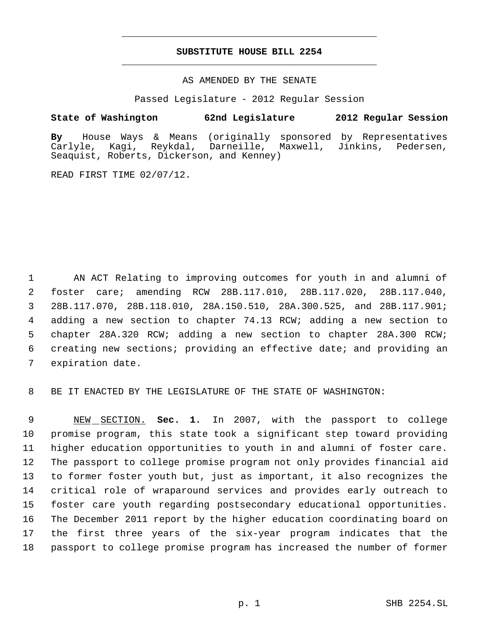# **SUBSTITUTE HOUSE BILL 2254** \_\_\_\_\_\_\_\_\_\_\_\_\_\_\_\_\_\_\_\_\_\_\_\_\_\_\_\_\_\_\_\_\_\_\_\_\_\_\_\_\_\_\_\_\_

\_\_\_\_\_\_\_\_\_\_\_\_\_\_\_\_\_\_\_\_\_\_\_\_\_\_\_\_\_\_\_\_\_\_\_\_\_\_\_\_\_\_\_\_\_

## AS AMENDED BY THE SENATE

Passed Legislature - 2012 Regular Session

## **State of Washington 62nd Legislature 2012 Regular Session**

**By** House Ways & Means (originally sponsored by Representatives Darneille, Maxwell, Jinkins, Pedersen, Seaquist, Roberts, Dickerson, and Kenney)

READ FIRST TIME 02/07/12.

 AN ACT Relating to improving outcomes for youth in and alumni of foster care; amending RCW 28B.117.010, 28B.117.020, 28B.117.040, 28B.117.070, 28B.118.010, 28A.150.510, 28A.300.525, and 28B.117.901; adding a new section to chapter 74.13 RCW; adding a new section to chapter 28A.320 RCW; adding a new section to chapter 28A.300 RCW; creating new sections; providing an effective date; and providing an expiration date.

BE IT ENACTED BY THE LEGISLATURE OF THE STATE OF WASHINGTON:

 NEW SECTION. **Sec. 1.** In 2007, with the passport to college promise program, this state took a significant step toward providing higher education opportunities to youth in and alumni of foster care. The passport to college promise program not only provides financial aid to former foster youth but, just as important, it also recognizes the critical role of wraparound services and provides early outreach to foster care youth regarding postsecondary educational opportunities. The December 2011 report by the higher education coordinating board on the first three years of the six-year program indicates that the passport to college promise program has increased the number of former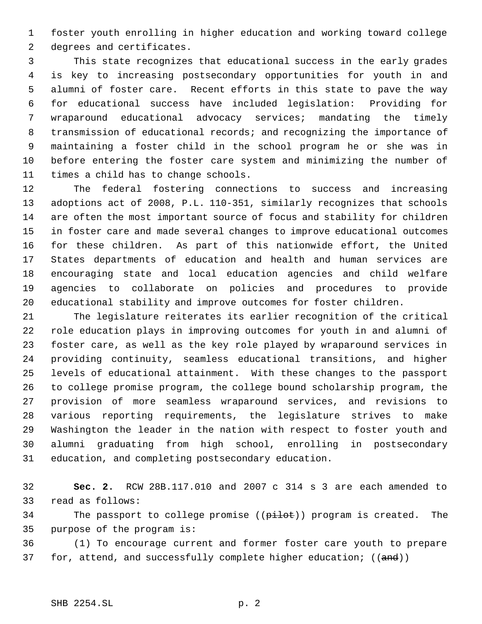foster youth enrolling in higher education and working toward college degrees and certificates.

 This state recognizes that educational success in the early grades is key to increasing postsecondary opportunities for youth in and alumni of foster care. Recent efforts in this state to pave the way for educational success have included legislation: Providing for wraparound educational advocacy services; mandating the timely transmission of educational records; and recognizing the importance of maintaining a foster child in the school program he or she was in before entering the foster care system and minimizing the number of times a child has to change schools.

 The federal fostering connections to success and increasing adoptions act of 2008, P.L. 110-351, similarly recognizes that schools are often the most important source of focus and stability for children in foster care and made several changes to improve educational outcomes for these children. As part of this nationwide effort, the United States departments of education and health and human services are encouraging state and local education agencies and child welfare agencies to collaborate on policies and procedures to provide educational stability and improve outcomes for foster children.

 The legislature reiterates its earlier recognition of the critical role education plays in improving outcomes for youth in and alumni of foster care, as well as the key role played by wraparound services in providing continuity, seamless educational transitions, and higher levels of educational attainment. With these changes to the passport to college promise program, the college bound scholarship program, the provision of more seamless wraparound services, and revisions to various reporting requirements, the legislature strives to make Washington the leader in the nation with respect to foster youth and alumni graduating from high school, enrolling in postsecondary education, and completing postsecondary education.

 **Sec. 2.** RCW 28B.117.010 and 2007 c 314 s 3 are each amended to read as follows:

34 The passport to college promise ((pilot)) program is created. The purpose of the program is:

 (1) To encourage current and former foster care youth to prepare 37 for, attend, and successfully complete higher education; ((and))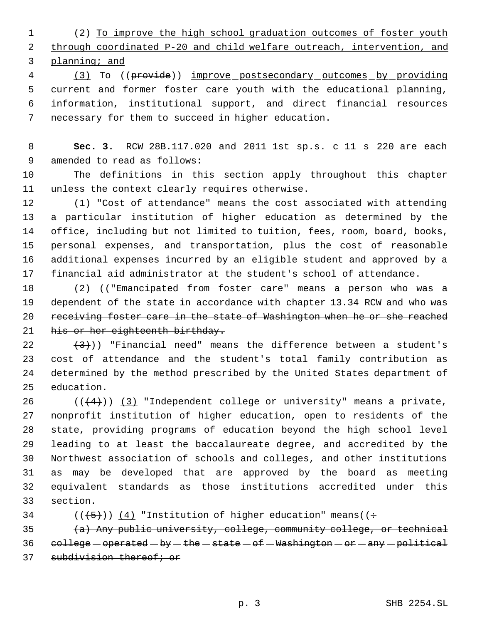(2) To improve the high school graduation outcomes of foster youth through coordinated P-20 and child welfare outreach, intervention, and planning; and

 (3) To ((provide)) improve postsecondary outcomes by providing current and former foster care youth with the educational planning, information, institutional support, and direct financial resources necessary for them to succeed in higher education.

 **Sec. 3.** RCW 28B.117.020 and 2011 1st sp.s. c 11 s 220 are each amended to read as follows:

 The definitions in this section apply throughout this chapter unless the context clearly requires otherwise.

 (1) "Cost of attendance" means the cost associated with attending a particular institution of higher education as determined by the office, including but not limited to tuition, fees, room, board, books, personal expenses, and transportation, plus the cost of reasonable additional expenses incurred by an eligible student and approved by a financial aid administrator at the student's school of attendance.

18 (2) ((<del>"Emancipated from foster care" means a person who was a</del> 19 dependent of the state in accordance with chapter 13.34 RCW and who was receiving foster care in the state of Washington when he or she reached 21 his or her eighteenth birthday.

 $(3)$ ) "Financial need" means the difference between a student's cost of attendance and the student's total family contribution as determined by the method prescribed by the United States department of education.

 $((+4))$   $(3)$  "Independent college or university" means a private, nonprofit institution of higher education, open to residents of the state, providing programs of education beyond the high school level leading to at least the baccalaureate degree, and accredited by the Northwest association of schools and colleges, and other institutions as may be developed that are approved by the board as meeting equivalent standards as those institutions accredited under this section.

34 ( $(\frac{5}{1})$ ) (4) "Institution of higher education" means( $(\div$ 

35  $(a)$  Any public university, college, community college, or technical 36  $\text{college}-\text{operated}-\text{by}-\text{the}-\text{state}-\text{of}-\text{Washington}-\text{or}-\text{any}-\text{political}$ 37 subdivision thereof; or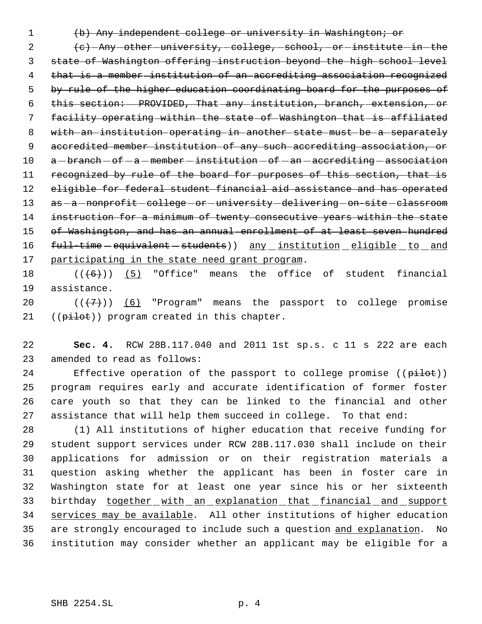(b) Any independent college or university in Washington; or

2 (c) -Any -other -university, college, school, or institute in the state of Washington offering instruction beyond the high school level that is a member institution of an accrediting association recognized by rule of the higher education coordinating board for the purposes of this section: PROVIDED, That any institution, branch, extension, or 7 facility operating within the state of Washington that is affiliated with an institution operating in another state must be a separately accredited member institution of any such accrediting association, or a -branch - of  $-a$  -member -institution - of - an -accrediting -association 11 recognized by rule of the board for purposes of this section, that is eligible for federal student financial aid assistance and has operated 13 as - a - nonprofit - college - or - university - delivering - on-site - classroom instruction for a minimum of twenty consecutive years within the state 15 of Washington, and has an annual enrollment of at least seven hundred 16 full-time - equivalent - students) any institution eligible to and 17 participating in the state need grant program.

18  $((+6))$   $(5)$  "Office" means the office of student financial assistance.

20  $((+7))$   $(6)$  "Program" means the passport to college promise 21 ((pilot)) program created in this chapter.

 **Sec. 4.** RCW 28B.117.040 and 2011 1st sp.s. c 11 s 222 are each amended to read as follows:

24 Effective operation of the passport to college promise ((pilot)) program requires early and accurate identification of former foster care youth so that they can be linked to the financial and other assistance that will help them succeed in college. To that end:

 (1) All institutions of higher education that receive funding for student support services under RCW 28B.117.030 shall include on their applications for admission or on their registration materials a question asking whether the applicant has been in foster care in Washington state for at least one year since his or her sixteenth 33 birthday together with an explanation that financial and support services may be available. All other institutions of higher education 35 are strongly encouraged to include such a question and explanation. No institution may consider whether an applicant may be eligible for a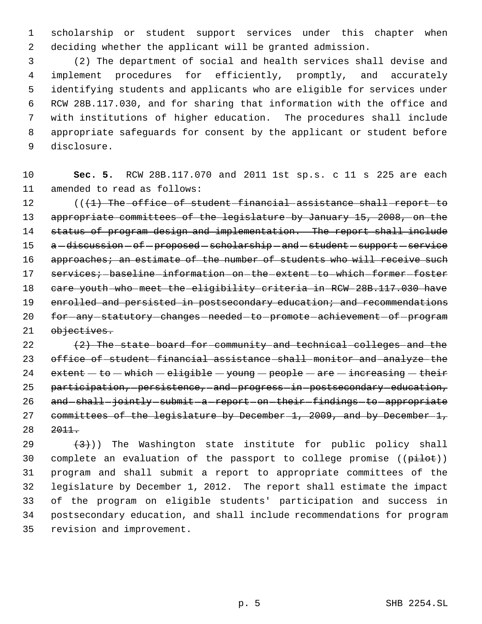scholarship or student support services under this chapter when deciding whether the applicant will be granted admission.

 (2) The department of social and health services shall devise and implement procedures for efficiently, promptly, and accurately identifying students and applicants who are eligible for services under RCW 28B.117.030, and for sharing that information with the office and with institutions of higher education. The procedures shall include appropriate safeguards for consent by the applicant or student before disclosure.

 **Sec. 5.** RCW 28B.117.070 and 2011 1st sp.s. c 11 s 225 are each amended to read as follows:

12 (((1) The office of student financial assistance shall report to appropriate committees of the legislature by January 15, 2008, on the status of program design and implementation. The report shall include 15 a-discussion-of-proposed-scholarship-and-student-support-service 16 approaches; an estimate of the number of students who will receive such 17 services; baseline information on the extent to which former foster 18 care youth who meet the eligibility criteria in RCW 28B.117.030 have 19 enrolled and persisted in postsecondary education; and recommendations 20 for -any -statutory -changes -needed -to -promote -achievement -of -program 21 objectives.

 $(2)$  The state board for community and technical colleges and the office of student financial assistance shall monitor and analyze the 24  $extent - to - which - eligible - young - people - are - increasing - their$ 25 participation, persistence, and progress in postsecondary education, 26 and shall jointly submit a report on their findings to appropriate committees of the legislature by December 1, 2009, and by December 1, 2011.

 $(3)$ )) The Washington state institute for public policy shall 30 complete an evaluation of the passport to college promise ((pilot)) program and shall submit a report to appropriate committees of the legislature by December 1, 2012. The report shall estimate the impact of the program on eligible students' participation and success in postsecondary education, and shall include recommendations for program revision and improvement.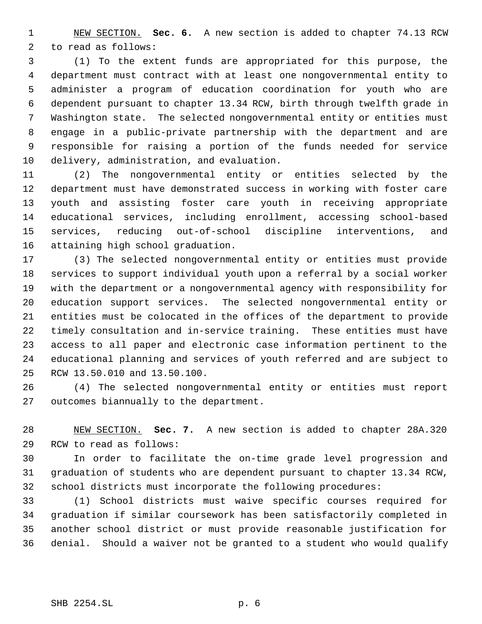NEW SECTION. **Sec. 6.** A new section is added to chapter 74.13 RCW to read as follows:

 (1) To the extent funds are appropriated for this purpose, the department must contract with at least one nongovernmental entity to administer a program of education coordination for youth who are dependent pursuant to chapter 13.34 RCW, birth through twelfth grade in Washington state. The selected nongovernmental entity or entities must engage in a public-private partnership with the department and are responsible for raising a portion of the funds needed for service delivery, administration, and evaluation.

 (2) The nongovernmental entity or entities selected by the department must have demonstrated success in working with foster care youth and assisting foster care youth in receiving appropriate educational services, including enrollment, accessing school-based services, reducing out-of-school discipline interventions, and attaining high school graduation.

 (3) The selected nongovernmental entity or entities must provide services to support individual youth upon a referral by a social worker with the department or a nongovernmental agency with responsibility for education support services. The selected nongovernmental entity or entities must be colocated in the offices of the department to provide timely consultation and in-service training. These entities must have access to all paper and electronic case information pertinent to the educational planning and services of youth referred and are subject to RCW 13.50.010 and 13.50.100.

 (4) The selected nongovernmental entity or entities must report outcomes biannually to the department.

 NEW SECTION. **Sec. 7.** A new section is added to chapter 28A.320 RCW to read as follows:

 In order to facilitate the on-time grade level progression and graduation of students who are dependent pursuant to chapter 13.34 RCW, school districts must incorporate the following procedures:

 (1) School districts must waive specific courses required for graduation if similar coursework has been satisfactorily completed in another school district or must provide reasonable justification for denial. Should a waiver not be granted to a student who would qualify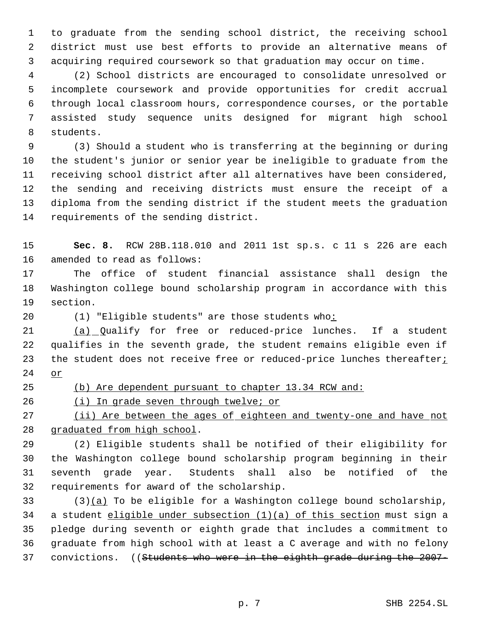to graduate from the sending school district, the receiving school district must use best efforts to provide an alternative means of acquiring required coursework so that graduation may occur on time.

 (2) School districts are encouraged to consolidate unresolved or incomplete coursework and provide opportunities for credit accrual through local classroom hours, correspondence courses, or the portable assisted study sequence units designed for migrant high school students.

 (3) Should a student who is transferring at the beginning or during the student's junior or senior year be ineligible to graduate from the receiving school district after all alternatives have been considered, the sending and receiving districts must ensure the receipt of a diploma from the sending district if the student meets the graduation requirements of the sending district.

 **Sec. 8.** RCW 28B.118.010 and 2011 1st sp.s. c 11 s 226 are each amended to read as follows:

 The office of student financial assistance shall design the Washington college bound scholarship program in accordance with this section.

20 (1) "Eligible students" are those students who:

 (a) Qualify for free or reduced-price lunches. If a student qualifies in the seventh grade, the student remains eligible even if 23 the student does not receive free or reduced-price lunches thereafter<sub>i</sub> or

(b) Are dependent pursuant to chapter 13.34 RCW and:

26 (i) In grade seven through twelve; or

27 (ii) Are between the ages of eighteen and twenty-one and have not graduated from high school.

 (2) Eligible students shall be notified of their eligibility for the Washington college bound scholarship program beginning in their seventh grade year. Students shall also be notified of the requirements for award of the scholarship.

 (3)(a) To be eligible for a Washington college bound scholarship, a student eligible under subsection (1)(a) of this section must sign a pledge during seventh or eighth grade that includes a commitment to graduate from high school with at least a C average and with no felony 37 convictions. ((Students who were in the eighth grade during the 2007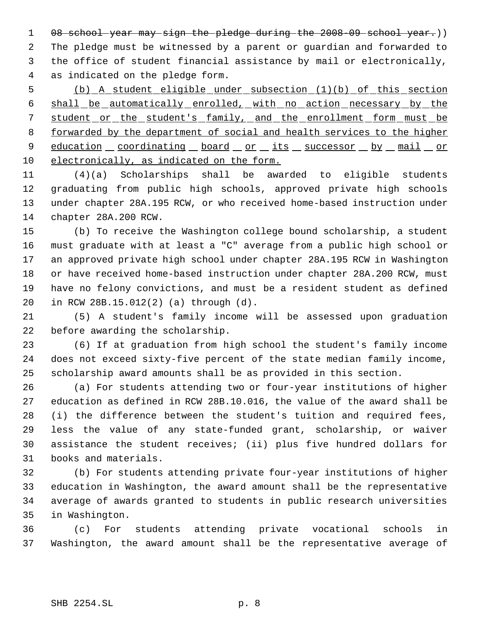1 08 school year may sign the pledge during the 2008-09 school year.)) The pledge must be witnessed by a parent or guardian and forwarded to the office of student financial assistance by mail or electronically, as indicated on the pledge form.

 (b) A student eligible under subsection (1)(b) of this section shall be automatically enrolled, with no action necessary by the 7 student or the student's family, and the enrollment form must be forwarded by the department of social and health services to the higher 9 education coordinating board or its successor by mail or electronically, as indicated on the form.

 (4)(a) Scholarships shall be awarded to eligible students graduating from public high schools, approved private high schools under chapter 28A.195 RCW, or who received home-based instruction under chapter 28A.200 RCW.

 (b) To receive the Washington college bound scholarship, a student must graduate with at least a "C" average from a public high school or an approved private high school under chapter 28A.195 RCW in Washington or have received home-based instruction under chapter 28A.200 RCW, must have no felony convictions, and must be a resident student as defined in RCW 28B.15.012(2) (a) through (d).

 (5) A student's family income will be assessed upon graduation before awarding the scholarship.

 (6) If at graduation from high school the student's family income does not exceed sixty-five percent of the state median family income, scholarship award amounts shall be as provided in this section.

 (a) For students attending two or four-year institutions of higher education as defined in RCW 28B.10.016, the value of the award shall be (i) the difference between the student's tuition and required fees, less the value of any state-funded grant, scholarship, or waiver assistance the student receives; (ii) plus five hundred dollars for books and materials.

 (b) For students attending private four-year institutions of higher education in Washington, the award amount shall be the representative average of awards granted to students in public research universities in Washington.

 (c) For students attending private vocational schools in Washington, the award amount shall be the representative average of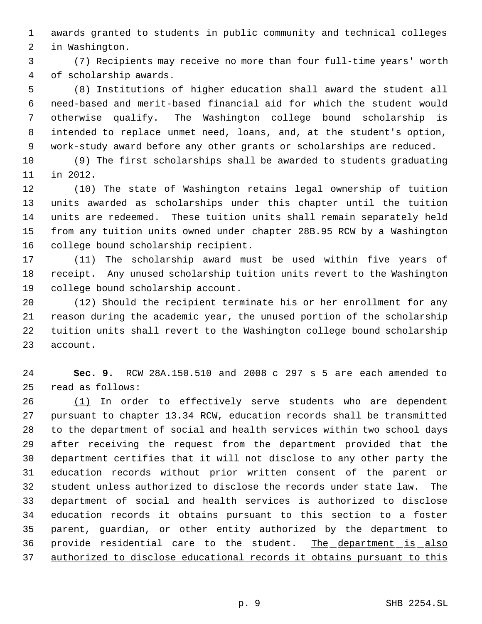awards granted to students in public community and technical colleges in Washington.

 (7) Recipients may receive no more than four full-time years' worth of scholarship awards.

 (8) Institutions of higher education shall award the student all need-based and merit-based financial aid for which the student would otherwise qualify. The Washington college bound scholarship is intended to replace unmet need, loans, and, at the student's option, work-study award before any other grants or scholarships are reduced.

 (9) The first scholarships shall be awarded to students graduating in 2012.

 (10) The state of Washington retains legal ownership of tuition units awarded as scholarships under this chapter until the tuition units are redeemed. These tuition units shall remain separately held from any tuition units owned under chapter 28B.95 RCW by a Washington college bound scholarship recipient.

 (11) The scholarship award must be used within five years of receipt. Any unused scholarship tuition units revert to the Washington college bound scholarship account.

 (12) Should the recipient terminate his or her enrollment for any reason during the academic year, the unused portion of the scholarship tuition units shall revert to the Washington college bound scholarship account.

 **Sec. 9.** RCW 28A.150.510 and 2008 c 297 s 5 are each amended to read as follows:

 (1) In order to effectively serve students who are dependent pursuant to chapter 13.34 RCW, education records shall be transmitted to the department of social and health services within two school days after receiving the request from the department provided that the department certifies that it will not disclose to any other party the education records without prior written consent of the parent or student unless authorized to disclose the records under state law. The department of social and health services is authorized to disclose education records it obtains pursuant to this section to a foster parent, guardian, or other entity authorized by the department to 36 provide residential care to the student. The department is also authorized to disclose educational records it obtains pursuant to this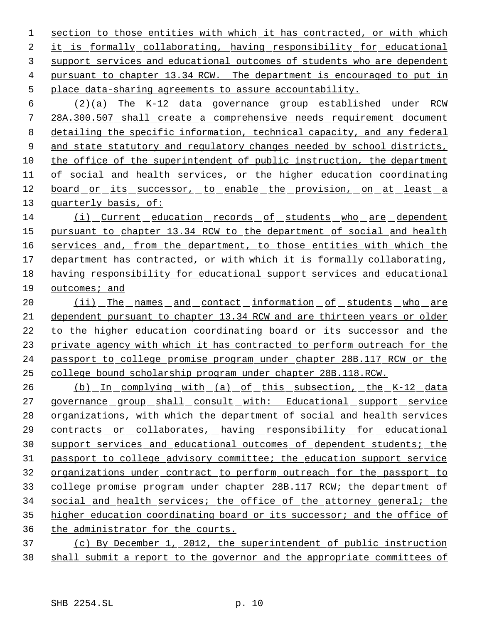section to those entities with which it has contracted, or with which it is formally collaborating, having responsibility for educational support services and educational outcomes of students who are dependent pursuant to chapter 13.34 RCW. The department is encouraged to put in place data-sharing agreements to assure accountability.

 (2)(a) The K-12 data governance group established under RCW 28A.300.507 shall create a comprehensive needs requirement document detailing the specific information, technical capacity, and any federal 9 and state statutory and regulatory changes needed by school districts, 10 the office of the superintendent of public instruction, the department 11 of social and health services, or the higher education coordinating 12 board or its successor, to enable the provision, on at least a quarterly basis, of:

 (i) Current education records of students who are dependent pursuant to chapter 13.34 RCW to the department of social and health 16 services and, from the department, to those entities with which the department has contracted, or with which it is formally collaborating, having responsibility for educational support services and educational 19 outcomes; and

20 (ii) The names and contact information of students who are dependent pursuant to chapter 13.34 RCW and are thirteen years or older 22 to the higher education coordinating board or its successor and the private agency with which it has contracted to perform outreach for the passport to college promise program under chapter 28B.117 RCW or the college bound scholarship program under chapter 28B.118.RCW.

26 (b) In complying with (a) of this subsection, the K-12 data 27 governance group shall consult with: Educational support service organizations, with which the department of social and health services contracts or collaborates, having responsibility for educational support services and educational outcomes of dependent students; the passport to college advisory committee; the education support service organizations under contract to perform outreach for the passport to college promise program under chapter 28B.117 RCW; the department of social and health services; the office of the attorney general; the higher education coordinating board or its successor; and the office of the administrator for the courts.

 (c) By December 1, 2012, the superintendent of public instruction shall submit a report to the governor and the appropriate committees of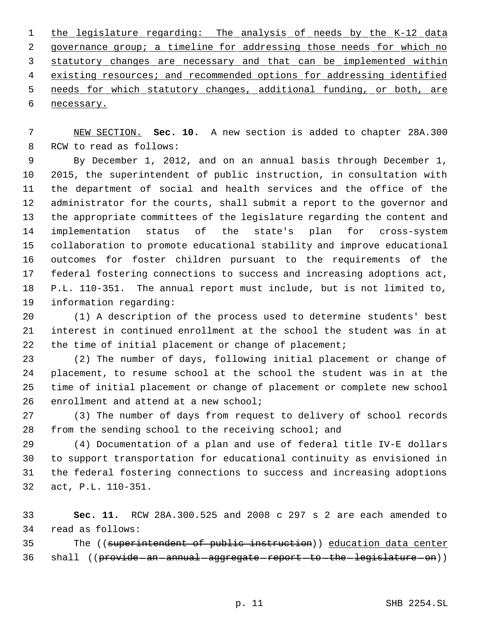the legislature regarding: The analysis of needs by the K-12 data 2 governance group; a timeline for addressing those needs for which no statutory changes are necessary and that can be implemented within 4 existing resources; and recommended options for addressing identified 5 needs for which statutory changes, additional funding, or both, are necessary.

 NEW SECTION. **Sec. 10.** A new section is added to chapter 28A.300 RCW to read as follows:

 By December 1, 2012, and on an annual basis through December 1, 2015, the superintendent of public instruction, in consultation with the department of social and health services and the office of the administrator for the courts, shall submit a report to the governor and the appropriate committees of the legislature regarding the content and implementation status of the state's plan for cross-system collaboration to promote educational stability and improve educational outcomes for foster children pursuant to the requirements of the federal fostering connections to success and increasing adoptions act, P.L. 110-351. The annual report must include, but is not limited to, information regarding:

 (1) A description of the process used to determine students' best interest in continued enrollment at the school the student was in at the time of initial placement or change of placement;

 (2) The number of days, following initial placement or change of placement, to resume school at the school the student was in at the time of initial placement or change of placement or complete new school enrollment and attend at a new school;

 (3) The number of days from request to delivery of school records from the sending school to the receiving school; and

 (4) Documentation of a plan and use of federal title IV-E dollars to support transportation for educational continuity as envisioned in the federal fostering connections to success and increasing adoptions act, P.L. 110-351.

 **Sec. 11.** RCW 28A.300.525 and 2008 c 297 s 2 are each amended to read as follows:

35 The ((superintendent of public instruction)) education data center 36 shall ((provide an annual aggregate report to the legislature on))